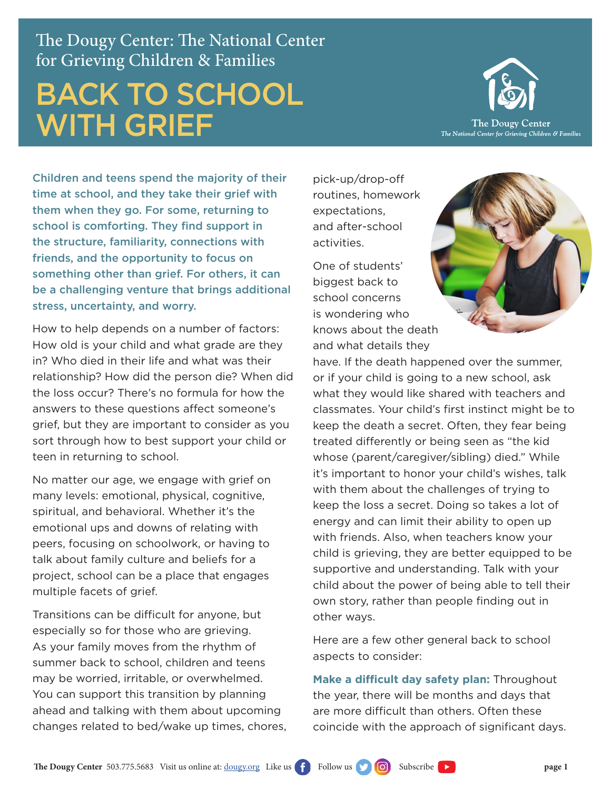The Dougy Center: The National Center for Grieving Children & Families

## BACK TO SCHOOL WITH GRIEF



Children and teens spend the majority of their time at school, and they take their grief with them when they go. For some, returning to school is comforting. They find support in the structure, familiarity, connections with friends, and the opportunity to focus on something other than grief. For others, it can be a challenging venture that brings additional stress, uncertainty, and worry.

How to help depends on a number of factors: How old is your child and what grade are they in? Who died in their life and what was their relationship? How did the person die? When did the loss occur? There's no formula for how the answers to these questions affect someone's grief, but they are important to consider as you sort through how to best support your child or teen in returning to school.

No matter our age, we engage with grief on many levels: emotional, physical, cognitive, spiritual, and behavioral. Whether it's the emotional ups and downs of relating with peers, focusing on schoolwork, or having to talk about family culture and beliefs for a project, school can be a place that engages multiple facets of grief.

Transitions can be difficult for anyone, but especially so for those who are grieving. As your family moves from the rhythm of summer back to school, children and teens may be worried, irritable, or overwhelmed. You can support this transition by planning ahead and talking with them about upcoming changes related to bed/wake up times, chores,

pick-up/drop-off routines, homework expectations, and after-school activities.

One of students' biggest back to school concerns is wondering who knows about the death and what details they



have. If the death happened over the summer, or if your child is going to a new school, ask what they would like shared with teachers and classmates. Your child's first instinct might be to keep the death a secret. Often, they fear being treated differently or being seen as "the kid whose (parent/caregiver/sibling) died." While it's important to honor your child's wishes, talk with them about the challenges of trying to keep the loss a secret. Doing so takes a lot of energy and can limit their ability to open up with friends. Also, when teachers know your child is grieving, they are better equipped to be supportive and understanding. Talk with your child about the power of being able to tell their own story, rather than people finding out in other ways.

Here are a few other general back to school aspects to consider:

**Make a difficult day safety plan:** Throughout the year, there will be months and days that are more difficult than others. Often these coincide with the approach of significant days.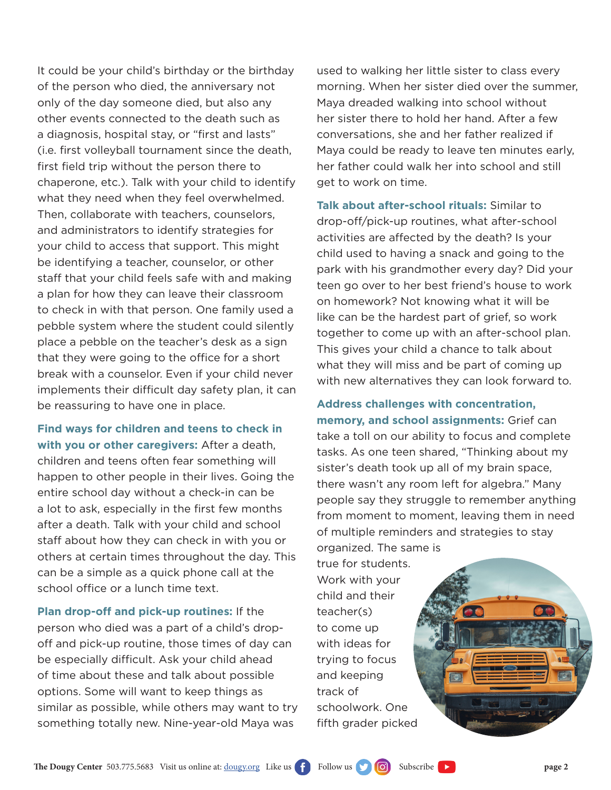It could be your child's birthday or the birthday of the person who died, the anniversary not only of the day someone died, but also any other events connected to the death such as a diagnosis, hospital stay, or "first and lasts" (i.e. first volleyball tournament since the death, first field trip without the person there to chaperone, etc.). Talk with your child to identify what they need when they feel overwhelmed. Then, collaborate with teachers, counselors, and administrators to identify strategies for your child to access that support. This might be identifying a teacher, counselor, or other staff that your child feels safe with and making a plan for how they can leave their classroom to check in with that person. One family used a pebble system where the student could silently place a pebble on the teacher's desk as a sign that they were going to the office for a short break with a counselor. Even if your child never implements their difficult day safety plan, it can be reassuring to have one in place.

**Find ways for children and teens to check in with you or other caregivers:** After a death, children and teens often fear something will happen to other people in their lives. Going the entire school day without a check-in can be a lot to ask, especially in the first few months after a death. Talk with your child and school staff about how they can check in with you or others at certain times throughout the day. This can be a simple as a quick phone call at the school office or a lunch time text.

**Plan drop-off and pick-up routines:** If the person who died was a part of a child's dropoff and pick-up routine, those times of day can be especially difficult. Ask your child ahead of time about these and talk about possible options. Some will want to keep things as similar as possible, while others may want to try something totally new. Nine-year-old Maya was

used to walking her little sister to class every morning. When her sister died over the summer, Maya dreaded walking into school without her sister there to hold her hand. After a few conversations, she and her father realized if Maya could be ready to leave ten minutes early, her father could walk her into school and still get to work on time.

**Talk about after-school rituals:** Similar to drop-off/pick-up routines, what after-school activities are affected by the death? Is your child used to having a snack and going to the park with his grandmother every day? Did your teen go over to her best friend's house to work on homework? Not knowing what it will be like can be the hardest part of grief, so work together to come up with an after-school plan. This gives your child a chance to talk about what they will miss and be part of coming up with new alternatives they can look forward to.

**Address challenges with concentration, memory, and school assignments:** Grief can take a toll on our ability to focus and complete tasks. As one teen shared, "Thinking about my sister's death took up all of my brain space, there wasn't any room left for algebra." Many people say they struggle to remember anything from moment to moment, leaving them in need of multiple reminders and strategies to stay organized. The same is

true for students. Work with your child and their teacher(s) to come up with ideas for trying to focus and keeping track of schoolwork. One fifth grader picked